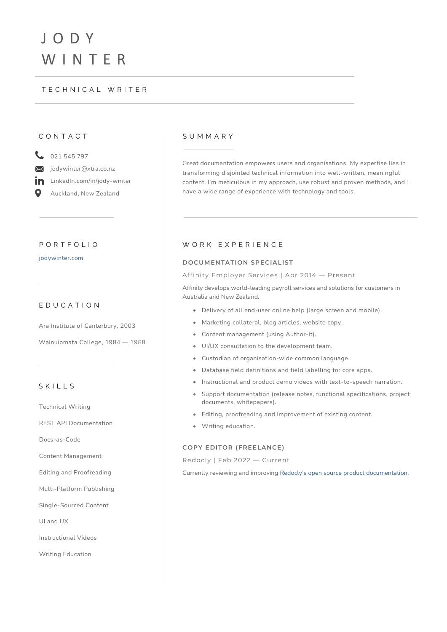# J O D Y W I N T E R

### T E C H N I C A L W R I T E R

### C O N T A C T

 $\frac{1}{2}$  021 545 797

jodywinter@xtra.co.nz  $\boxtimes$ 

LinkedIn.com/in/jody-winter in

Q Auckland, New Zealand

### P O R T F O L I O

[jodywinter.com](https://jodywinter.com/)

### E D U C A T I O N

Ara Institute of Canterbury, 2003 Wainuiomata College, 1984 — 1988

### S K I L L S

Technical Writing

REST API Documentation

Docs-as-Code

Content Management

Editing and Proofreading

Multi-Platform Publishing

Single-Sourced Content

UI and UX

Instructional Videos

Writing Education

### S U M M A R Y

Great documentation empowers users and organisations. My expertise lies in transforming disjointed technical information into well-written, meaningful content. I'm meticulous in my approach, use robust and proven methods, and I have a wide range of experience with technology and tools.

### WORK EXPERIENCE

### **DOCUMENTATION SPECIALIST**

#### Affinity Employer Services | Apr 2014 — Present

Affinity develops world-leading payroll services and solutions for customers in Australia and New Zealand.

- Delivery of all end-user online help (large screen and mobile).
- Marketing collateral, blog articles, website copy.
- Content management (using Author-it).
- UI/UX consultation to the development team.
- Custodian of organisation-wide common language.
- Database field definitions and field labelling for core apps.
- Instructional and product demo videos with text-to-speech narration.
- Support documentation (release notes, functional specifications, project documents, whitepapers).
- Editing, proofreading and improvement of existing content.
- Writing education.

### **COPY EDITOR (FREELANCE)**

Redocly | Feb 2022 — Current

Currently reviewing and improving Redocly's open source [product documentation.](https://redocly.com/docs/cli/)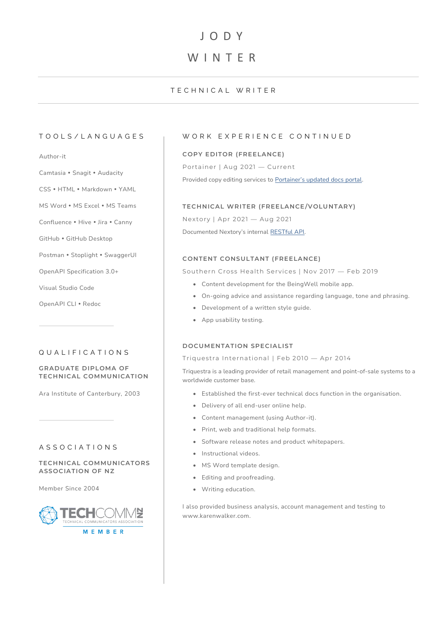## J O D Y

## W I N T E R

### T E C H N I C A L W R I T E R

### Author-it

- Camtasia Snagit Audacity
- CSS · HTML · Markdown · YAML
- MS Word MS Excel MS Teams
- Confluence . Hive . Jira . Canny
- GitHub GitHub Desktop
- Postman Stoplight SwaggerUI
- OpenAPI Specification 3.0+
- Visual Studio Code
- OpenAPI CLI · Redoc

### Q U A L I F I C A T I O N S

### **GRADUATE DIPLOMA OF TECHNICAL COMMUNICATION**

Ara Institute of Canterbury, 2003

### A S S O C I A T I O N S

**TECHNICAL COMMUNICATORS ASSOCIATION OF NZ**

Member Since 2004



### TOOLS/LANGUAGES | WORK EXPERIENCE CONTINUED

### **COPY EDITOR (FREELANCE)**

Portainer | Aug 2021 — Current

Provided copy editing services to [Portainer's updated docs portal](https://docs.portainer.io/).

### **TECHNICAL WRITER (FREELANCE/VOLUNTARY)**

Nextory | Apr 2021 — Aug 2021 Documented Nextory's internal [RESTful API.](https://jodywinter.com/home/nextory-rest-api-docs/)

### **CONTENT CONSULTANT (FREELANCE)**

Southern Cross Health Services | Nov 2017 — Feb 2019

- Content development for the BeingWell mobile app.
- On-going advice and assistance regarding language, tone and phrasing.
- Development of a written style guide.
- App usability testing.

### **DOCUMENTATION SPECIALIST**

#### Triquestra International | Feb 2010 — Apr 2014

Triquestra is a leading provider of retail management and point-of-sale systems to a worldwide customer base.

- Established the first-ever technical docs function in the organisation.
- Delivery of all end-user online help.
- Content management (using Author-it).
- Print, web and traditional help formats.
- Software release notes and product whitepapers.
- Instructional videos.
- MS Word template design.
- Editing and proofreading.
- Writing education.

I also provided business analysis, account management and testing to www.karenwalker.com.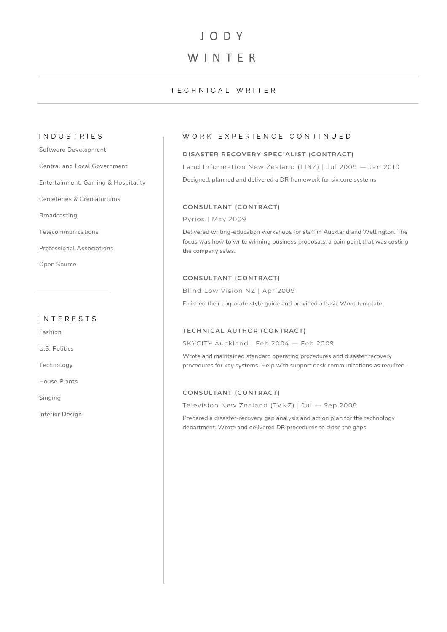## J O D Y

## W I N T F R

### TECHNICAL WRITER

Software Development

Central and Local Government

Entertainment, Gaming & Hospitality

Cemeteries & Crematoriums

Broadcasting

Telecommunications

Professional Associations

Open Source

### I N T E R E S T S

Fashion

U.S. Politics

Technology

House Plants

Singing

Interior Design

### IN DUSTRIES WORK EXPERIENCE CONTINUED

### **DISASTER RECOVERY SPECIALIST (CONTRACT)**

Land Information New Zealand (LINZ) | Jul 2009 — Jan 2010

Designed, planned and delivered a DR framework for six core systems.

### **CONSULTANT (CONTRACT)**

Pyrios | May 2009

Delivered writing-education workshops for staff in Auckland and Wellington. The focus was how to write winning business proposals, a pain point that was costing the company sales.

### **CONSULTANT (CONTRACT)**

Blind Low Vision NZ | Apr 2009

Finished their corporate style guide and provided a basic Word template.

### **TECHNICAL AUTHOR (CONTRACT)**

SKYCITY Auckland | Feb 2004 — Feb 2009

Wrote and maintained standard operating procedures and disaster recovery procedures for key systems. Help with support desk communications as required.

### **CONSULTANT (CONTRACT)**

Television New Zealand (TVNZ) | Jul — Sep 2008

Prepared a disaster-recovery gap analysis and action plan for the technology department. Wrote and delivered DR procedures to close the gaps.